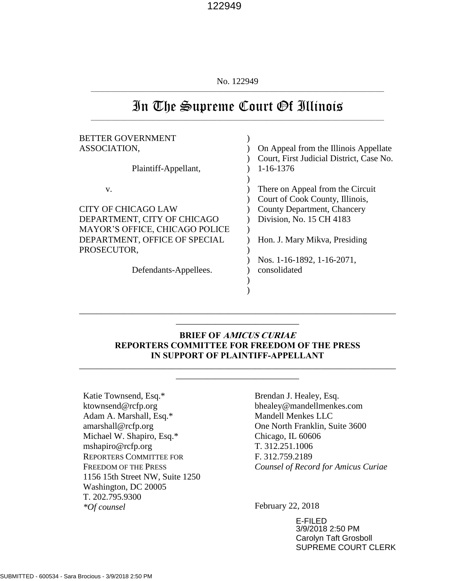No. 122949  $\_$  , and the set of the set of the set of the set of the set of the set of the set of the set of the set of the set of the set of the set of the set of the set of the set of the set of the set of the set of the set of th

# In The Supreme Court Of Illinois \_\_\_\_\_\_\_\_\_\_\_\_\_\_\_\_\_\_\_\_\_\_\_\_\_\_\_\_\_\_\_\_\_\_\_\_\_\_\_\_\_\_\_\_\_\_\_\_\_\_\_\_\_\_\_\_\_\_\_\_\_\_\_\_\_\_\_\_\_\_\_\_\_\_\_\_\_\_\_\_\_\_\_\_\_\_\_\_\_\_\_\_\_\_\_\_\_\_\_\_

| <b>BETTER GOVERNMENT</b>       |                                          |
|--------------------------------|------------------------------------------|
| ASSOCIATION,                   | On Appeal from the Illinois Appellate    |
|                                | Court, First Judicial District, Case No. |
| Plaintiff-Appellant,           | 1-16-1376                                |
|                                |                                          |
| V.                             | There on Appeal from the Circuit         |
|                                | Court of Cook County, Illinois,          |
| CITY OF CHICAGO LAW            | County Department, Chancery              |
| DEPARTMENT, CITY OF CHICAGO    | Division, No. 15 CH 4183                 |
| MAYOR'S OFFICE, CHICAGO POLICE |                                          |
| DEPARTMENT, OFFICE OF SPECIAL  | Hon. J. Mary Mikva, Presiding            |
| PROSECUTOR,                    |                                          |
|                                | Nos. 1-16-1892, 1-16-2071,               |
| Defendants-Appellees.          | consolidated                             |
|                                |                                          |
|                                |                                          |

### **BRIEF OF AMICUS CURIAE REPORTERS COMMITTEE FOR FREEDOM OF THE PRESS IN SUPPORT OF PLAINTIFF-APPELLANT**

\_\_\_\_\_\_\_\_\_\_\_\_\_\_\_\_\_\_\_\_\_\_\_\_\_\_\_\_\_\_\_\_\_\_\_\_\_\_\_\_\_\_\_\_\_\_\_\_\_\_\_\_\_\_\_\_\_\_\_\_\_\_\_\_\_\_\_\_\_\_\_\_ \_\_\_\_\_\_\_\_\_\_\_\_\_\_\_\_\_\_\_\_\_\_\_\_\_\_\_\_

\_\_\_\_\_\_\_\_\_\_\_\_\_\_\_\_\_\_\_\_\_\_\_\_\_\_\_\_\_\_\_\_\_\_\_\_\_\_\_\_\_\_\_\_\_\_\_\_\_\_\_\_\_\_\_\_\_\_\_\_\_\_\_\_\_\_\_\_\_\_\_\_ \_\_\_\_\_\_\_\_\_\_\_\_\_\_\_\_\_\_\_\_\_\_\_\_\_\_\_\_

Katie Townsend, Esq.\* ktownsend@rcfp.org Adam A. Marshall, Esq.\* amarshall@rcfp.org Michael W. Shapiro, Esq.\* mshapiro@rcfp.org REPORTERS COMMITTEE FOR FREEDOM OF THE PRESS 1156 15th Street NW, Suite 1250 Washington, DC 20005 T. 202.795.9300 *\*Of counsel*

Brendan J. Healey, Esq. bhealey@mandellmenkes.com Mandell Menkes LLC One North Franklin, Suite 3600 Chicago, IL 60606 T. 312.251.1006 F. 312.759.2189 *Counsel of Record for Amicus Curiae*

February 22, 2018

E-FILED 3/9/2018 2:50 PM Carolyn Taft Grosboll SUPREME COURT CLERK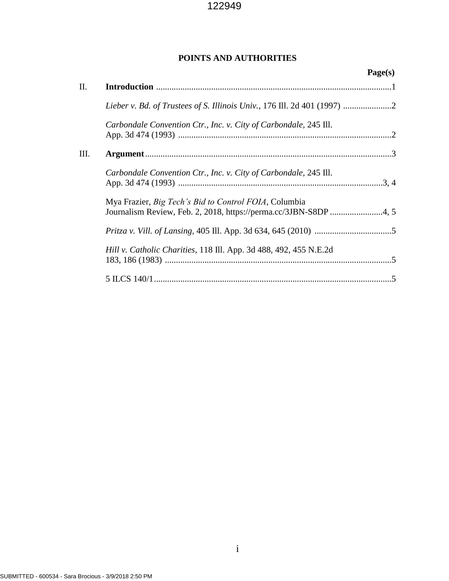# **POINTS AND AUTHORITIES**

|      |                                                                   | Page(s) |
|------|-------------------------------------------------------------------|---------|
| Π.   |                                                                   |         |
|      |                                                                   |         |
|      | Carbondale Convention Ctr., Inc. v. City of Carbondale, 245 Ill.  |         |
| III. |                                                                   |         |
|      | Carbondale Convention Ctr., Inc. v. City of Carbondale, 245 Ill.  |         |
|      | Mya Frazier, Big Tech's Bid to Control FOIA, Columbia             |         |
|      |                                                                   |         |
|      | Hill v. Catholic Charities, 118 Ill. App. 3d 488, 492, 455 N.E.2d |         |
|      |                                                                   |         |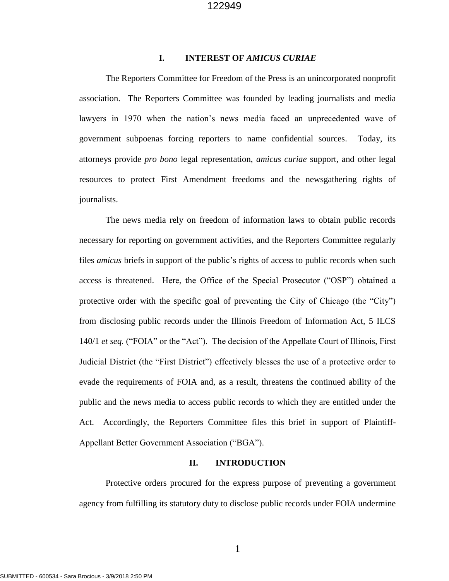## **I. INTEREST OF** *AMICUS CURIAE*

The Reporters Committee for Freedom of the Press is an unincorporated nonprofit association. The Reporters Committee was founded by leading journalists and media lawyers in 1970 when the nation's news media faced an unprecedented wave of government subpoenas forcing reporters to name confidential sources. Today, its attorneys provide *pro bono* legal representation, *amicus curiae* support, and other legal resources to protect First Amendment freedoms and the newsgathering rights of journalists.

 The news media rely on freedom of information laws to obtain public records necessary for reporting on government activities, and the Reporters Committee regularly files *amicus* briefs in support of the public's rights of access to public records when such access is threatened. Here, the Office of the Special Prosecutor ("OSP") obtained a protective order with the specific goal of preventing the City of Chicago (the "City") from disclosing public records under the Illinois Freedom of Information Act, 5 ILCS 140/1 *et seq.* ("FOIA" or the "Act"). The decision of the Appellate Court of Illinois, First Judicial District (the "First District") effectively blesses the use of a protective order to evade the requirements of FOIA and, as a result, threatens the continued ability of the public and the news media to access public records to which they are entitled under the Act. Accordingly, the Reporters Committee files this brief in support of Plaintiff-Appellant Better Government Association ("BGA").

#### **II. INTRODUCTION**

Protective orders procured for the express purpose of preventing a government agency from fulfilling its statutory duty to disclose public records under FOIA undermine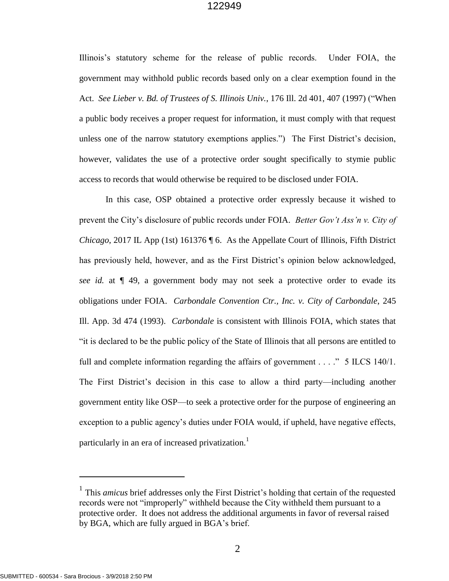Illinois's statutory scheme for the release of public records. Under FOIA, the government may withhold public records based only on a clear exemption found in the Act. *See Lieber v. Bd. of Trustees of S. Illinois Univ.*, 176 Ill. 2d 401, 407 (1997) ("When a public body receives a proper request for information, it must comply with that request unless one of the narrow statutory exemptions applies.") The First District's decision, however, validates the use of a protective order sought specifically to stymie public access to records that would otherwise be required to be disclosed under FOIA.

 In this case, OSP obtained a protective order expressly because it wished to prevent the City's disclosure of public records under FOIA. *Better Gov't Ass'n v. City of Chicago*, 2017 IL App (1st) 161376 ¶ 6. As the Appellate Court of Illinois, Fifth District has previously held, however, and as the First District's opinion below acknowledged, *see id.* at ¶ 49, a government body may not seek a protective order to evade its obligations under FOIA. *Carbondale Convention Ctr., Inc. v. City of Carbondale*, 245 Ill. App. 3d 474 (1993). *Carbondale* is consistent with Illinois FOIA, which states that "it is declared to be the public policy of the State of Illinois that all persons are entitled to full and complete information regarding the affairs of government  $\dots$  " 5 ILCS 140/1. The First District's decision in this case to allow a third party—including another government entity like OSP—to seek a protective order for the purpose of engineering an exception to a public agency's duties under FOIA would, if upheld, have negative effects, particularly in an era of increased privatization.<sup>1</sup>

l

<sup>&</sup>lt;sup>1</sup> This *amicus* brief addresses only the First District's holding that certain of the requested records were not "improperly" withheld because the City withheld them pursuant to a protective order. It does not address the additional arguments in favor of reversal raised by BGA, which are fully argued in BGA's brief.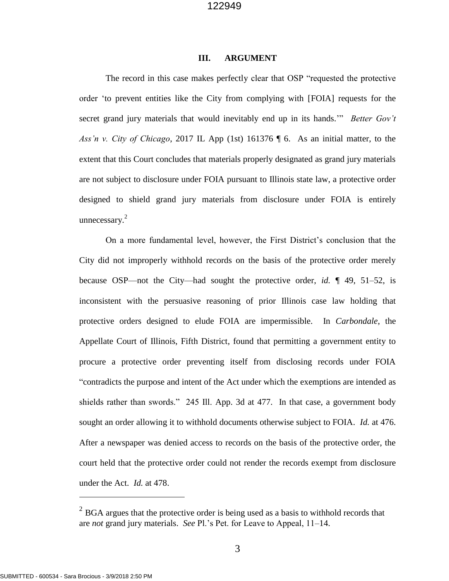#### **III. ARGUMENT**

The record in this case makes perfectly clear that OSP "requested the protective order 'to prevent entities like the City from complying with [FOIA] requests for the secret grand jury materials that would inevitably end up in its hands.'" *Better Gov't Ass'n v. City of Chicago*, 2017 IL App (1st) 161376 ¶ 6. As an initial matter, to the extent that this Court concludes that materials properly designated as grand jury materials are not subject to disclosure under FOIA pursuant to Illinois state law, a protective order designed to shield grand jury materials from disclosure under FOIA is entirely unnecessary. $2$ 

On a more fundamental level, however, the First District's conclusion that the City did not improperly withhold records on the basis of the protective order merely because OSP—not the City—had sought the protective order, *id.* ¶ 49, 51–52, is inconsistent with the persuasive reasoning of prior Illinois case law holding that protective orders designed to elude FOIA are impermissible. In *Carbondale*, the Appellate Court of Illinois, Fifth District, found that permitting a government entity to procure a protective order preventing itself from disclosing records under FOIA "contradicts the purpose and intent of the Act under which the exemptions are intended as shields rather than swords." 245 Ill. App. 3d at 477. In that case, a government body sought an order allowing it to withhold documents otherwise subject to FOIA. *Id.* at 476. After a newspaper was denied access to records on the basis of the protective order, the court held that the protective order could not render the records exempt from disclosure under the Act. *Id.* at 478.

 $\overline{a}$ 

 $2^{2}$  BGA argues that the protective order is being used as a basis to withhold records that are *not* grand jury materials. *See* Pl.'s Pet. for Leave to Appeal, 11–14.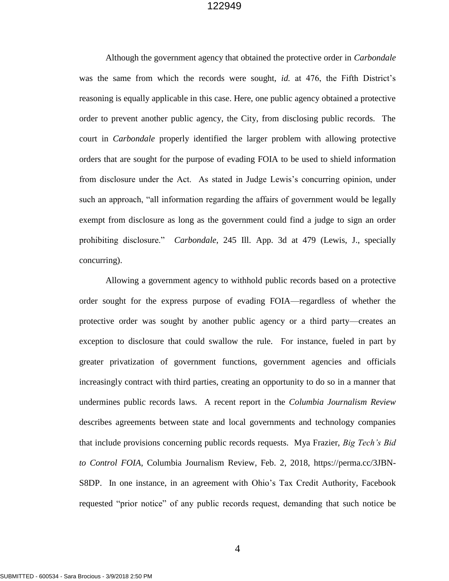Although the government agency that obtained the protective order in *Carbondale* was the same from which the records were sought, *id.* at 476, the Fifth District's reasoning is equally applicable in this case. Here, one public agency obtained a protective order to prevent another public agency, the City, from disclosing public records. The court in *Carbondale* properly identified the larger problem with allowing protective orders that are sought for the purpose of evading FOIA to be used to shield information from disclosure under the Act. As stated in Judge Lewis's concurring opinion, under such an approach, "all information regarding the affairs of government would be legally exempt from disclosure as long as the government could find a judge to sign an order prohibiting disclosure." *Carbondale*, 245 Ill. App. 3d at 479 (Lewis, J., specially concurring).

Allowing a government agency to withhold public records based on a protective order sought for the express purpose of evading FOIA—regardless of whether the protective order was sought by another public agency or a third party—creates an exception to disclosure that could swallow the rule. For instance, fueled in part by greater privatization of government functions, government agencies and officials increasingly contract with third parties, creating an opportunity to do so in a manner that undermines public records laws. A recent report in the *Columbia Journalism Review* describes agreements between state and local governments and technology companies that include provisions concerning public records requests. Mya Frazier, *Big Tech's Bid to Control FOIA*, Columbia Journalism Review, Feb. 2, 2018, https://perma.cc/3JBN-S8DP. In one instance, in an agreement with Ohio's Tax Credit Authority, Facebook requested "prior notice" of any public records request, demanding that such notice be

4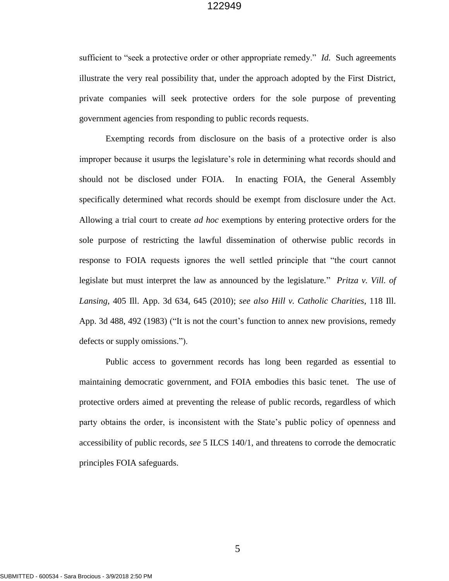sufficient to "seek a protective order or other appropriate remedy." *Id.* Such agreements illustrate the very real possibility that, under the approach adopted by the First District, private companies will seek protective orders for the sole purpose of preventing government agencies from responding to public records requests.

Exempting records from disclosure on the basis of a protective order is also improper because it usurps the legislature's role in determining what records should and should not be disclosed under FOIA. In enacting FOIA, the General Assembly specifically determined what records should be exempt from disclosure under the Act. Allowing a trial court to create *ad hoc* exemptions by entering protective orders for the sole purpose of restricting the lawful dissemination of otherwise public records in response to FOIA requests ignores the well settled principle that "the court cannot legislate but must interpret the law as announced by the legislature." *Pritza v. Vill. of Lansing*, 405 Ill. App. 3d 634, 645 (2010); *see also Hill v. Catholic Charities*, 118 Ill. App. 3d 488, 492 (1983) ("It is not the court's function to annex new provisions, remedy defects or supply omissions.").

Public access to government records has long been regarded as essential to maintaining democratic government, and FOIA embodies this basic tenet. The use of protective orders aimed at preventing the release of public records, regardless of which party obtains the order, is inconsistent with the State's public policy of openness and accessibility of public records, *see* 5 ILCS 140/1, and threatens to corrode the democratic principles FOIA safeguards.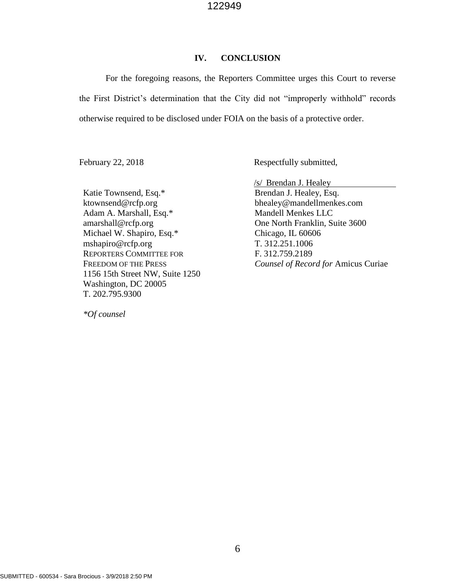#### **IV. CONCLUSION**

For the foregoing reasons, the Reporters Committee urges this Court to reverse the First District's determination that the City did not "improperly withhold" records otherwise required to be disclosed under FOIA on the basis of a protective order.

February 22, 2018 Respectfully submitted,

Katie Townsend, Esq.\* ktownsend@rcfp.org Adam A. Marshall, Esq.\* amarshall@rcfp.org Michael W. Shapiro, Esq.\* mshapiro@rcfp.org REPORTERS COMMITTEE FOR FREEDOM OF THE PRESS 1156 15th Street NW, Suite 1250 Washington, DC 20005 T. 202.795.9300

*\*Of counsel*

/s/ Brendan J. Healey

Brendan J. Healey, Esq. bhealey@mandellmenkes.com Mandell Menkes LLC One North Franklin, Suite 3600 Chicago, IL 60606 T. 312.251.1006 F. 312.759.2189 *Counsel of Record for* Amicus Curiae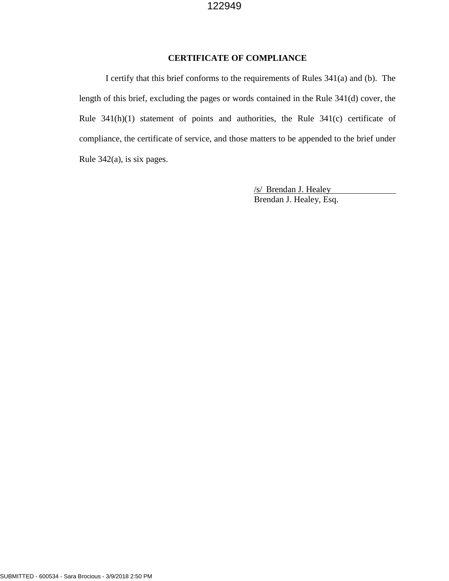# **CERTIFICATE OF COMPLIANCE**

I certify that this brief conforms to the requirements of Rules 341(a) and (b). The length of this brief, excluding the pages or words contained in the Rule 341(d) cover, the Rule 341(h)(1) statement of points and authorities, the Rule 341(c) certificate of compliance, the certificate of service, and those matters to be appended to the brief under Rule 342(a), is six pages.

> /s/ Brendan J. Healey Brendan J. Healey, Esq.